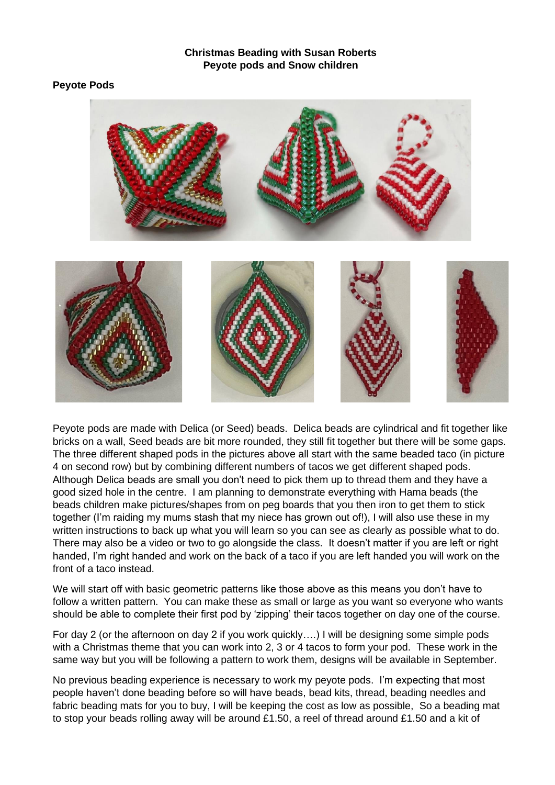## **Christmas Beading with Susan Roberts Peyote pods and Snow children**

## **Peyote Pods**



Peyote pods are made with Delica (or Seed) beads. Delica beads are cylindrical and fit together like bricks on a wall, Seed beads are bit more rounded, they still fit together but there will be some gaps. The three different shaped pods in the pictures above all start with the same beaded taco (in picture 4 on second row) but by combining different numbers of tacos we get different shaped pods. Although Delica beads are small you don't need to pick them up to thread them and they have a good sized hole in the centre. I am planning to demonstrate everything with Hama beads (the beads children make pictures/shapes from on peg boards that you then iron to get them to stick together (I'm raiding my mums stash that my niece has grown out of!), I will also use these in my written instructions to back up what you will learn so you can see as clearly as possible what to do. There may also be a video or two to go alongside the class. It doesn't matter if you are left or right handed, I'm right handed and work on the back of a taco if you are left handed you will work on the front of a taco instead.

We will start off with basic geometric patterns like those above as this means you don't have to follow a written pattern. You can make these as small or large as you want so everyone who wants should be able to complete their first pod by 'zipping' their tacos together on day one of the course.

For day 2 (or the afternoon on day 2 if you work quickly….) I will be designing some simple pods with a Christmas theme that you can work into 2, 3 or 4 tacos to form your pod. These work in the same way but you will be following a pattern to work them, designs will be available in September.

No previous beading experience is necessary to work my peyote pods. I'm expecting that most people haven't done beading before so will have beads, bead kits, thread, beading needles and fabric beading mats for you to buy, I will be keeping the cost as low as possible, So a beading mat to stop your beads rolling away will be around £1.50, a reel of thread around £1.50 and a kit of